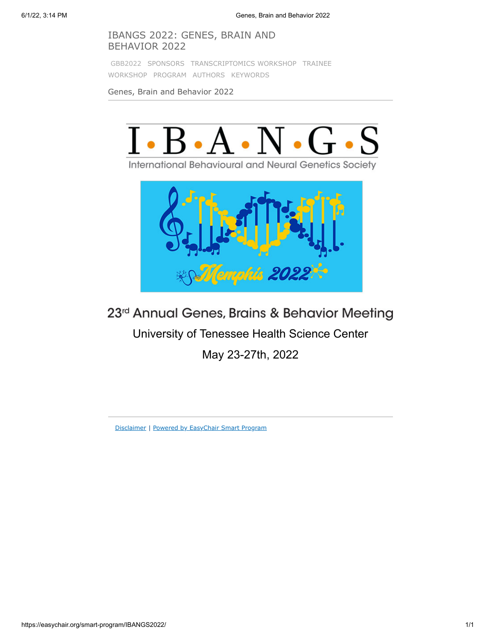# IBANGS 2022: GENES, BRAIN AND BEHAVIOR 2022

[GBB2022](https://easychair.org/smart-program/IBANGS2022/index.html) [SPONSORS](https://easychair.org/smart-program/IBANGS2022/index1.html) [TRANSCRIPTOMICS WORKSHOP](https://easychair.org/smart-program/IBANGS2022/workshop1.html) TRAINEE WORKSHOP [PROGRAM](https://easychair.org/smart-program/IBANGS2022/program.html) [AUTHORS](https://easychair.org/smart-program/IBANGS2022/talk_author_index.html) [KEYWORDS](https://easychair.org/smart-program/IBANGS2022/talk_keyword_index.html)

Genes, Brain and Behavior 2022



International Behavioural and Neural Genetics Society



23rd Annual Genes, Brains & Behavior Meeting

University of Tenessee Health Science Center

May 23-27th, 2022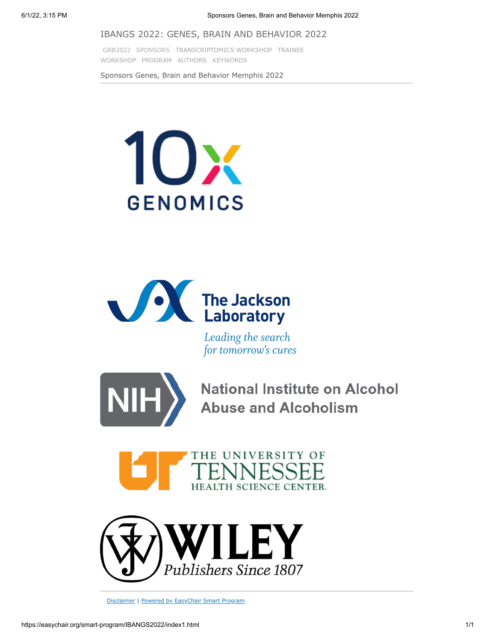#### IBANGS 2022: GENES, BRAIN AND BEHAVIOR 2022

[GBB2022](https://easychair.org/smart-program/IBANGS2022/index.html) [SPONSORS](https://easychair.org/smart-program/IBANGS2022/index1.html) [TRANSCRIPTOMICS WORKSHOP](https://easychair.org/smart-program/IBANGS2022/workshop1.html) TRAINEE WORKSHOP [PROGRAM](https://easychair.org/smart-program/IBANGS2022/program.html) [AUTHORS](https://easychair.org/smart-program/IBANGS2022/talk_author_index.html) [KEYWORDS](https://easychair.org/smart-program/IBANGS2022/talk_keyword_index.html)

Sponsors Genes, Brain and Behavior Memphis 2022





Leading the search for tomorrow's cures



National Institute on Alcohol<br>Abuse and Alcoholism



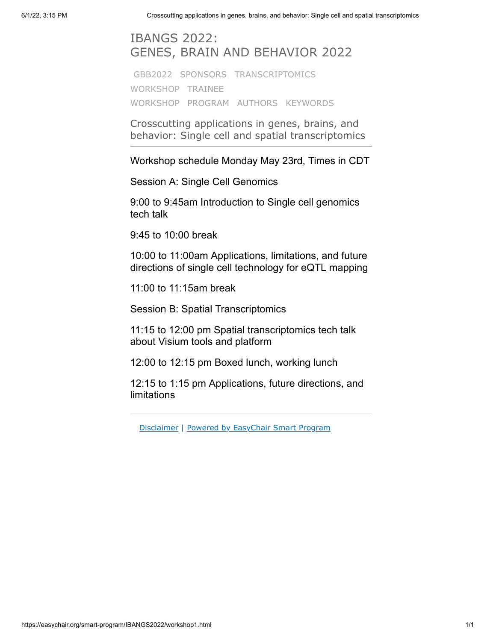# IBANGS 2022: GENES, BRAIN AND BEHAVIOR 2022

[GBB2022](https://easychair.org/smart-program/IBANGS2022/index.html) [SPONSORS](https://easychair.org/smart-program/IBANGS2022/index1.html) [TRANSCRIPTOMICS](https://easychair.org/smart-program/IBANGS2022/workshop1.html) [WORKSHOP](https://easychair.org/smart-program/IBANGS2022/workshop2.html) TRAINEE WORKSHOP [PROGRAM](https://easychair.org/smart-program/IBANGS2022/program.html) [AUTHORS](https://easychair.org/smart-program/IBANGS2022/talk_author_index.html) [KEYWORDS](https://easychair.org/smart-program/IBANGS2022/talk_keyword_index.html)

Crosscutting applications in genes, brains, and behavior: Single cell and spatial transcriptomics

Workshop schedule Monday May 23rd, Times in CDT

Session A: Single Cell Genomics

9:00 to 9:45am Introduction to Single cell genomics tech talk

9:45 to 10:00 break

10:00 to 11:00am Applications, limitations, and future directions of single cell technology for eQTL mapping

11:00 to 11:15am break

Session B: Spatial Transcriptomics

11:15 to 12:00 pm Spatial transcriptomics tech talk about Visium tools and platform

12:00 to 12:15 pm Boxed lunch, working lunch

12:15 to 1:15 pm Applications, future directions, and limitations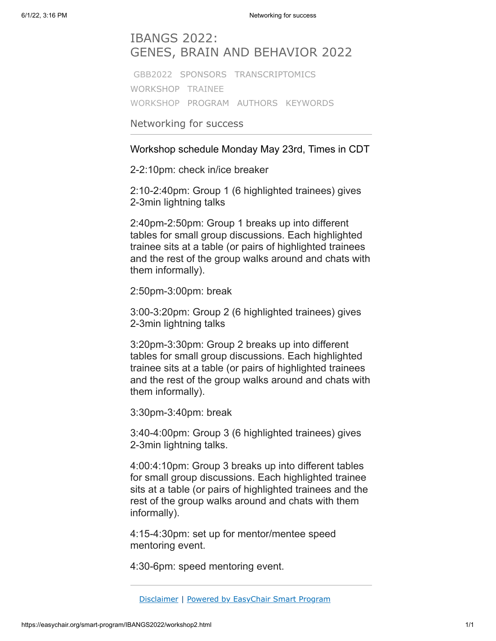# IBANGS 2022: GENES, BRAIN AND BEHAVIOR 2022

[GBB2022](https://easychair.org/smart-program/IBANGS2022/index.html) [SPONSORS](https://easychair.org/smart-program/IBANGS2022/index1.html) [TRANSCRIPTOMICS](https://easychair.org/smart-program/IBANGS2022/workshop1.html) [WORKSHOP](https://easychair.org/smart-program/IBANGS2022/workshop2.html) TRAINEE WORKSHOP [PROGRAM](https://easychair.org/smart-program/IBANGS2022/program.html) [AUTHORS](https://easychair.org/smart-program/IBANGS2022/talk_author_index.html) [KEYWORDS](https://easychair.org/smart-program/IBANGS2022/talk_keyword_index.html)

Networking for success

Workshop schedule Monday May 23rd, Times in CDT

2-2:10pm: check in/ice breaker

2:10-2:40pm: Group 1 (6 highlighted trainees) gives 2-3min lightning talks

2:40pm-2:50pm: Group 1 breaks up into different tables for small group discussions. Each highlighted trainee sits at a table (or pairs of highlighted trainees and the rest of the group walks around and chats with them informally).

2:50pm-3:00pm: break

3:00-3:20pm: Group 2 (6 highlighted trainees) gives 2-3min lightning talks

3:20pm-3:30pm: Group 2 breaks up into different tables for small group discussions. Each highlighted trainee sits at a table (or pairs of highlighted trainees and the rest of the group walks around and chats with them informally).

3:30pm-3:40pm: break

3:40-4:00pm: Group 3 (6 highlighted trainees) gives 2-3min lightning talks.

4:00:4:10pm: Group 3 breaks up into different tables for small group discussions. Each highlighted trainee sits at a table (or pairs of highlighted trainees and the rest of the group walks around and chats with them informally).

4:15-4:30pm: set up for mentor/mentee speed mentoring event.

4:30-6pm: speed mentoring event.

[Disclaimer](https://easychair.org/smart-program/IBANGS2022/disclaimer.html) | Powered by [EasyChair](https://easychair.org/smart_program) Smart Program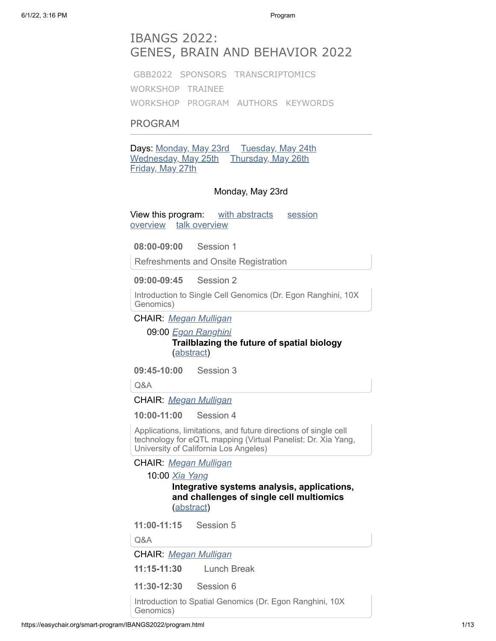# IBANGS 2022: GENES, BRAIN AND BEHAVIOR 2022

[GBB2022](https://easychair.org/smart-program/IBANGS2022/index.html) [SPONSORS](https://easychair.org/smart-program/IBANGS2022/index1.html) [TRANSCRIPTOMICS](https://easychair.org/smart-program/IBANGS2022/workshop1.html) [WORKSHOP](https://easychair.org/smart-program/IBANGS2022/workshop2.html) TRAINEE WORKSHOP [PROGRAM](https://easychair.org/smart-program/IBANGS2022/program.html) [AUTHORS](https://easychair.org/smart-program/IBANGS2022/talk_author_index.html) [KEYWORDS](https://easychair.org/smart-program/IBANGS2022/talk_keyword_index.html)

# PROGRAM

Days: [Monday, May 23rd](https://easychair.org/smart-program/IBANGS2022/2022-05-23.html) [Tuesday, May 24th](https://easychair.org/smart-program/IBANGS2022/2022-05-24.html) [Wednesday, May 25th](https://easychair.org/smart-program/IBANGS2022/2022-05-25.html) [Thursday, May 26th](https://easychair.org/smart-program/IBANGS2022/2022-05-26.html) [Friday, May 27th](https://easychair.org/smart-program/IBANGS2022/2022-05-27.html)

### Monday, May 23rd

[View this program: with abstracts](https://easychair.org/smart-program/IBANGS2022/bysession-2022-05-23.html) session overview [talk overview](https://easychair.org/smart-program/IBANGS2022/bytalk-2022-05-23.html)

**08:00-09:00** Session 1

Refreshments and Onsite Registration

**09:00-09:45** Session 2

Introduction to Single Cell Genomics (Dr. Egon Ranghini, 10X Genomics)

CHAIR: *[Megan Mulligan](https://easychair.org/smart-program/IBANGS2022/person12.html)*

09:00 *[Egon Ranghini](https://easychair.org/smart-program/IBANGS2022/person2.html)* **Trailblazing the future of spatial biology** [\(abstract\)](https://easychair.org/smart-program/IBANGS2022/2022-05-23.html#talk:192990)

**09:45-10:00** Session 3

Q&A

CHAIR: *[Megan Mulligan](https://easychair.org/smart-program/IBANGS2022/person12.html)*

**10:00-11:00** Session 4

Applications, limitations, and future directions of single cell technology for eQTL mapping (Virtual Panelist: Dr. Xia Yang, University of California Los Angeles)

CHAIR: *[Megan Mulligan](https://easychair.org/smart-program/IBANGS2022/person12.html)*

10:00 *[Xia Yang](https://easychair.org/smart-program/IBANGS2022/person4.html)*

**Integrative systems analysis, applications, and challenges of single cell multiomics** [\(abstract\)](https://easychair.org/smart-program/IBANGS2022/2022-05-23.html#talk:192365)

**11:00-11:15** Session 5

Q&A

CHAIR: *[Megan Mulligan](https://easychair.org/smart-program/IBANGS2022/person12.html)*

**11:15-11:30** Lunch Break

**11:30-12:30** Session 6

Introduction to Spatial Genomics (Dr. Egon Ranghini, 10X Genomics)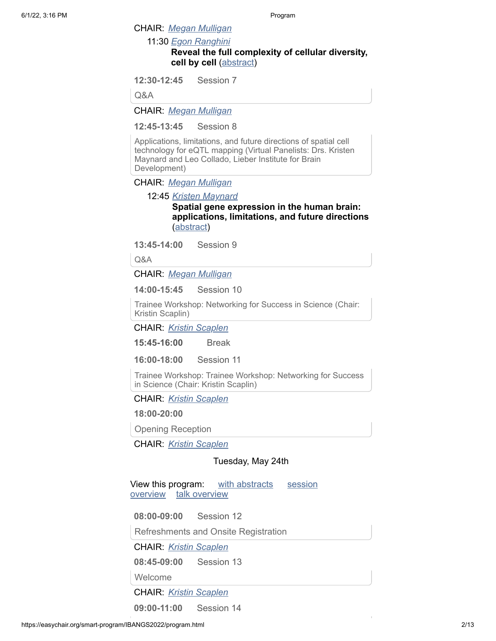CHAIR: *[Megan Mulligan](https://easychair.org/smart-program/IBANGS2022/person12.html)*

11:30 *[Egon Ranghini](https://easychair.org/smart-program/IBANGS2022/person2.html)*

# **Reveal the full complexity of cellular diversity, cell by cell** [\(abstract](https://easychair.org/smart-program/IBANGS2022/2022-05-23.html#talk:192989))

**12:30-12:45** Session 7

Q&A

CHAIR: *[Megan Mulligan](https://easychair.org/smart-program/IBANGS2022/person12.html)*

**12:45-13:45** Session 8

Applications, limitations, and future directions of spatial cell technology for eQTL mapping (Virtual Panelists: Drs. Kristen Maynard and Leo Collado, Lieber Institute for Brain Development)

CHAIR: *[Megan Mulligan](https://easychair.org/smart-program/IBANGS2022/person12.html)*

12:45 *[Kristen Maynard](https://easychair.org/smart-program/IBANGS2022/person5.html)*

**Spatial gene expression in the human brain: applications, limitations, and future directions** [\(abstract\)](https://easychair.org/smart-program/IBANGS2022/2022-05-23.html#talk:192366)

**13:45-14:00** Session 9

Q&A

CHAIR: *[Megan Mulligan](https://easychair.org/smart-program/IBANGS2022/person12.html)*

**14:00-15:45** Session 10

Trainee Workshop: Networking for Success in Science (Chair: Kristin Scaplin)

CHAIR: *[Kristin Scaplen](https://easychair.org/smart-program/IBANGS2022/person6.html)*

**15:45-16:00** Break

**16:00-18:00** Session 11

Trainee Workshop: Trainee Workshop: Networking for Success in Science (Chair: Kristin Scaplin)

CHAIR: *[Kristin Scaplen](https://easychair.org/smart-program/IBANGS2022/person6.html)*

**18:00-20:00**

Opening Reception

CHAIR: *[Kristin Scaplen](https://easychair.org/smart-program/IBANGS2022/person6.html)*

#### Tuesday, May 24th

[View this program: with abstracts](https://easychair.org/smart-program/IBANGS2022/bysession-2022-05-24.html) session overview [talk overview](https://easychair.org/smart-program/IBANGS2022/bytalk-2022-05-24.html)

**08:00-09:00** Session 12

Refreshments and Onsite Registration

CHAIR: *[Kristin Scaplen](https://easychair.org/smart-program/IBANGS2022/person6.html)*

**08:45-09:00** Session 13

Welcome

CHAIR: *[Kristin Scaplen](https://easychair.org/smart-program/IBANGS2022/person6.html)*

**09:00-11:00** Session 14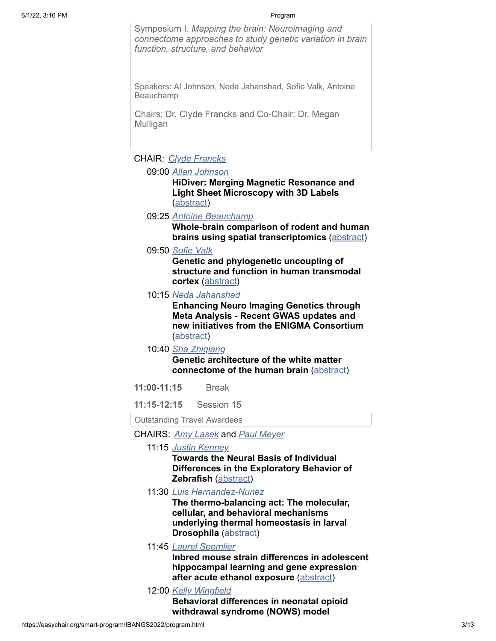Symposium I. *Mapping the brain: Neuroimaging and connectome approaches to study genetic variation in brain function, structure, and behavior*

Speakers: Al Johnson, Neda Jahanshad, Sofie Valk, Antoine Beauchamp

Chairs: Dr. Clyde Francks and Co-Chair: Dr. Megan Mulligan

# CHAIR: *[Clyde Francks](https://easychair.org/smart-program/IBANGS2022/person7.html)*

09:00 *[Allan Johnson](https://easychair.org/smart-program/IBANGS2022/person8.html)*

**HiDiver: Merging Magnetic Resonance and Light Sheet Microscopy with 3D Labels** [\(abstract\)](https://easychair.org/smart-program/IBANGS2022/2022-05-24.html#talk:192370)

09:25 *[Antoine Beauchamp](https://easychair.org/smart-program/IBANGS2022/person9.html)*

**Whole-brain comparison of rodent and human brains using spatial transcriptomics** ([abstract](https://easychair.org/smart-program/IBANGS2022/2022-05-24.html#talk:192367))

09:50 *[Sofie Valk](https://easychair.org/smart-program/IBANGS2022/person10.html)*

**Genetic and phylogenetic uncoupling of structure and function in human transmodal cortex** [\(abstract](https://easychair.org/smart-program/IBANGS2022/2022-05-24.html#talk:192368))

10:15 *[Neda Jahanshad](https://easychair.org/smart-program/IBANGS2022/person11.html)*

**Enhancing Neuro Imaging Genetics through Meta Analysis - Recent GWAS updates and new initiatives from the ENIGMA Consortium** [\(abstract\)](https://easychair.org/smart-program/IBANGS2022/2022-05-24.html#talk:192369)

10:40 *[Sha Zhiqiang](https://easychair.org/smart-program/IBANGS2022/person54.html)*

**Genetic architecture of the white matter connectome of the human brain** ([abstract](https://easychair.org/smart-program/IBANGS2022/2022-05-24.html#talk:193252))

- **11:00-11:15** Break
- **11:15-12:15** Session 15

Outstanding Travel Awardees

- CHAIRS: *[Amy Lasek](https://easychair.org/smart-program/IBANGS2022/person56.html)* and *[Paul Meyer](https://easychair.org/smart-program/IBANGS2022/person20.html)*
	- 11:15 *[Justin Kenney](https://easychair.org/smart-program/IBANGS2022/person13.html)*

**Towards the Neural Basis of Individual Differences in the Exploratory Behavior of Zebrafish** [\(abstract\)](https://easychair.org/smart-program/IBANGS2022/2022-05-24.html#talk:192381)

11:30 *[Luis Hernandez-Nunez](https://easychair.org/smart-program/IBANGS2022/person14.html)*

**The thermo-balancing act: The molecular, cellular, and behavioral mechanisms underlying thermal homeostasis in larval Drosophila** [\(abstract\)](https://easychair.org/smart-program/IBANGS2022/2022-05-24.html#talk:192378)

11:45 *[Laurel Seemlier](https://easychair.org/smart-program/IBANGS2022/person15.html)*

**Inbred mouse strain differences in adolescent hippocampal learning and gene expression after acute ethanol exposure** [\(abstract\)](https://easychair.org/smart-program/IBANGS2022/2022-05-24.html#talk:192379)

12:00 *[Kelly Wingfield](https://easychair.org/smart-program/IBANGS2022/person16.html)*

**Behavioral differences in neonatal opioid withdrawal syndrome (NOWS) model**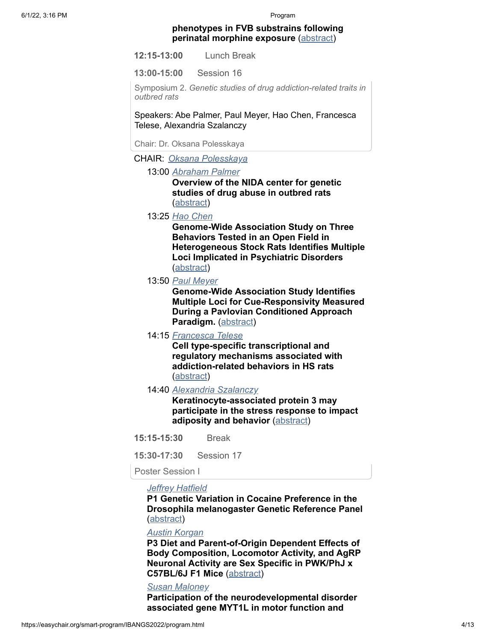#### **phenotypes in FVB substrains following perinatal morphine exposure** ([abstract](https://easychair.org/smart-program/IBANGS2022/2022-05-24.html#talk:192380))

**12:15-13:00** Lunch Break

**13:00-15:00** Session 16

Symposium 2. *Genetic studies of drug addiction-related traits in outbred rats*

Speakers: Abe Palmer, Paul Meyer, Hao Chen, Francesca Telese, Alexandria Szalanczy

Chair: Dr. Oksana Polesskaya

CHAIR: *[Oksana Polesskaya](https://easychair.org/smart-program/IBANGS2022/person17.html)*

13:00 *[Abraham Palmer](https://easychair.org/smart-program/IBANGS2022/person22.html)*

**Overview of the NIDA center for genetic studies of drug abuse in outbred rats** [\(abstract\)](https://easychair.org/smart-program/IBANGS2022/2022-05-24.html#talk:192499)

13:25 *[Hao Chen](https://easychair.org/smart-program/IBANGS2022/person19.html)*

**Genome-Wide Association Study on Three Behaviors Tested in an Open Field in Heterogeneous Stock Rats Identifies Multiple Loci Implicated in Psychiatric Disorders** [\(abstract\)](https://easychair.org/smart-program/IBANGS2022/2022-05-24.html#talk:192371)

13:50 *[Paul Meyer](https://easychair.org/smart-program/IBANGS2022/person20.html)*

**Genome-Wide Association Study Identifies Multiple Loci for Cue-Responsivity Measured During a Pavlovian Conditioned Approach Paradigm.** [\(abstract\)](https://easychair.org/smart-program/IBANGS2022/2022-05-24.html#talk:192373)

14:15 *[Francesca Telese](https://easychair.org/smart-program/IBANGS2022/person18.html)*

**Cell type-specific transcriptional and regulatory mechanisms associated with addiction-related behaviors in HS rats** [\(abstract\)](https://easychair.org/smart-program/IBANGS2022/2022-05-24.html#talk:192372)

14:40 *[Alexandria Szalanczy](https://easychair.org/smart-program/IBANGS2022/person21.html)*

**Keratinocyte-associated protein 3 may participate in the stress response to impact adiposity and behavior [\(abstract\)](https://easychair.org/smart-program/IBANGS2022/2022-05-24.html#talk:192374)** 

**15:15-15:30** Break

**15:30-17:30** Session 17

Poster Session I

#### *[Jeffrey Hatfield](https://easychair.org/smart-program/IBANGS2022/person23.html)*

**P1 Genetic Variation in Cocaine Preference in the Drosophila melanogaster Genetic Reference Panel** [\(abstract\)](https://easychair.org/smart-program/IBANGS2022/2022-05-24.html#talk:193321)

#### *[Austin Korgan](https://easychair.org/smart-program/IBANGS2022/person24.html)*

**P3 Diet and Parent-of-Origin Dependent Effects of Body Composition, Locomotor Activity, and AgRP Neuronal Activity are Sex Specific in PWK/PhJ x C57BL/6J F1 Mice** [\(abstract](https://easychair.org/smart-program/IBANGS2022/2022-05-24.html#talk:193322))

# *[Susan Maloney](https://easychair.org/smart-program/IBANGS2022/person25.html)*

**Participation of the neurodevelopmental disorder associated gene MYT1L in motor function and**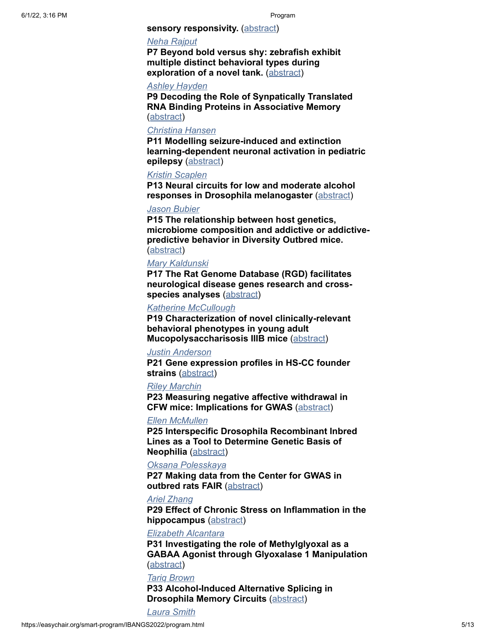#### **sensory responsivity.** ([abstract\)](https://easychair.org/smart-program/IBANGS2022/2022-05-24.html#talk:193311)

### *[Neha Rajput](https://easychair.org/smart-program/IBANGS2022/person26.html)*

**P7 Beyond bold versus shy: zebrafish exhibit multiple distinct behavioral types during exploration of a novel tank.** ([abstract](https://easychair.org/smart-program/IBANGS2022/2022-05-24.html#talk:193317))

# *[Ashley Hayden](https://easychair.org/smart-program/IBANGS2022/person27.html)*

**P9 Decoding the Role of Synpatically Translated RNA Binding Proteins in Associative Memory** [\(abstract\)](https://easychair.org/smart-program/IBANGS2022/2022-05-24.html#talk:193312)

# *[Christina Hansen](https://easychair.org/smart-program/IBANGS2022/person28.html)*

**P11 Modelling seizure-induced and extinction learning-dependent neuronal activation in pediatric epilepsy** [\(abstract](https://easychair.org/smart-program/IBANGS2022/2022-05-24.html#talk:193324))

## *[Kristin Scaplen](https://easychair.org/smart-program/IBANGS2022/person6.html)*

**P13 Neural circuits for low and moderate alcohol responses in Drosophila melanogaster** ([abstract\)](https://easychair.org/smart-program/IBANGS2022/2022-05-24.html#talk:193313)

# *[Jason Bubier](https://easychair.org/smart-program/IBANGS2022/person29.html)*

**P15 The relationship between host genetics, microbiome composition and addictive or addictivepredictive behavior in Diversity Outbred mice.** [\(abstract\)](https://easychair.org/smart-program/IBANGS2022/2022-05-24.html#talk:193315)

#### *[Mary Kaldunski](https://easychair.org/smart-program/IBANGS2022/person30.html)*

**P17 The Rat Genome Database (RGD) facilitates neurological disease genes research and crossspecies analyses** ([abstract](https://easychair.org/smart-program/IBANGS2022/2022-05-24.html#talk:193319))

#### *[Katherine McCullough](https://easychair.org/smart-program/IBANGS2022/person31.html)*

**P19 Characterization of novel clinically-relevant behavioral phenotypes in young adult Mucopolysaccharisosis IIIB mice** [\(abstract\)](https://easychair.org/smart-program/IBANGS2022/2022-05-24.html#talk:193329)

#### *[Justin Anderson](https://easychair.org/smart-program/IBANGS2022/person32.html)*

**P21 Gene expression profiles in HS-CC founder strains** ([abstract](https://easychair.org/smart-program/IBANGS2022/2022-05-24.html#talk:193320))

#### *[Riley Marchin](https://easychair.org/smart-program/IBANGS2022/person33.html)*

**P23 Measuring negative affective withdrawal in CFW mice: Implications for GWAS** [\(abstract\)](https://easychair.org/smart-program/IBANGS2022/2022-05-24.html#talk:193328)

#### *[Ellen McMullen](https://easychair.org/smart-program/IBANGS2022/person34.html)*

**P25 Interspecific Drosophila Recombinant Inbred Lines as a Tool to Determine Genetic Basis of Neophilia** [\(abstract](https://easychair.org/smart-program/IBANGS2022/2022-05-24.html#talk:193327))

### *[Oksana Polesskaya](https://easychair.org/smart-program/IBANGS2022/person17.html)*

**P27 Making data from the Center for GWAS in outbred rats FAIR ([abstract\)](https://easychair.org/smart-program/IBANGS2022/2022-05-24.html#talk:193326)** 

#### *[Ariel Zhang](https://easychair.org/smart-program/IBANGS2022/person35.html)*

**P29 Effect of Chronic Stress on Inflammation in the hippocampus** [\(abstract\)](https://easychair.org/smart-program/IBANGS2022/2022-05-24.html#talk:193325)

### *[Elizabeth Alcantara](https://easychair.org/smart-program/IBANGS2022/person36.html)*

**P31 Investigating the role of Methylglyoxal as a GABAA Agonist through Glyoxalase 1 Manipulation** [\(abstract\)](https://easychair.org/smart-program/IBANGS2022/2022-05-24.html#talk:193314)

#### *[Tariq Brown](https://easychair.org/smart-program/IBANGS2022/person37.html)*

**P33 Alcohol-Induced Alternative Splicing in Drosophila Memory Circuits** [\(abstract\)](https://easychair.org/smart-program/IBANGS2022/2022-05-24.html#talk:193323)

*[Laura Smith](https://easychair.org/smart-program/IBANGS2022/person38.html)*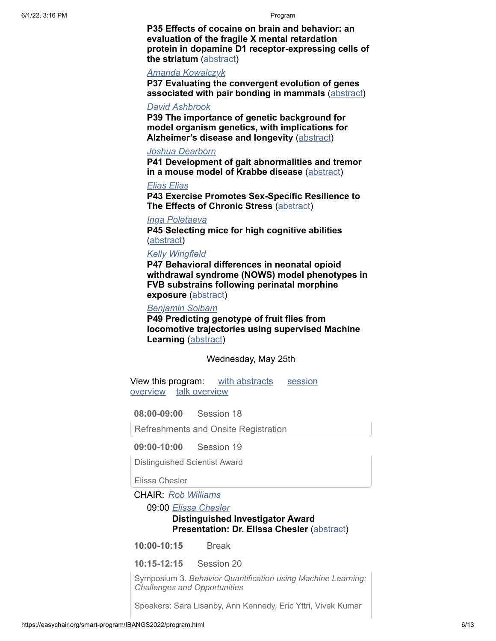**P35 Effects of cocaine on brain and behavior: an evaluation of the fragile X mental retardation protein in dopamine D1 receptor-expressing cells of the striatum** ([abstract](https://easychair.org/smart-program/IBANGS2022/2022-05-24.html#talk:193318))

### *[Amanda Kowalczyk](https://easychair.org/smart-program/IBANGS2022/person39.html)*

**P37 Evaluating the convergent evolution of genes associated with pair bonding in mammals** [\(abstract\)](https://easychair.org/smart-program/IBANGS2022/2022-05-24.html#talk:193316)

#### *[David Ashbrook](https://easychair.org/smart-program/IBANGS2022/person40.html)*

**P39 The importance of genetic background for model organism genetics, with implications for Alzheimer's disease and longevity** ([abstract](https://easychair.org/smart-program/IBANGS2022/2022-05-24.html#talk:193340))

#### *[Joshua Dearborn](https://easychair.org/smart-program/IBANGS2022/person41.html)*

**P41 Development of gait abnormalities and tremor in a mouse model of Krabbe disease** ([abstract](https://easychair.org/smart-program/IBANGS2022/2022-05-24.html#talk:193339))

*[Elias Elias](https://easychair.org/smart-program/IBANGS2022/person42.html)*

**P43 Exercise Promotes Sex-Specific Resilience to The Effects of Chronic Stress** [\(abstract](https://easychair.org/smart-program/IBANGS2022/2022-05-24.html#talk:193334))

#### *[Inga Poletaeva](https://easychair.org/smart-program/IBANGS2022/person43.html)*

**P45 Selecting mice for high cognitive abilities** [\(abstract\)](https://easychair.org/smart-program/IBANGS2022/2022-05-24.html#talk:193332)

## *[Kelly Wingfield](https://easychair.org/smart-program/IBANGS2022/person16.html)*

**P47 Behavioral differences in neonatal opioid withdrawal syndrome (NOWS) model phenotypes in FVB substrains following perinatal morphine exposure** ([abstract\)](https://easychair.org/smart-program/IBANGS2022/2022-05-24.html#talk:193363)

#### *[Benjamin Soibam](https://easychair.org/smart-program/IBANGS2022/person44.html)*

**P49 Predicting genotype of fruit flies from locomotive trajectories using supervised Machine Learning** [\(abstract\)](https://easychair.org/smart-program/IBANGS2022/2022-05-24.html#talk:193387)

Wednesday, May 25th

[View this program: with abstracts](https://easychair.org/smart-program/IBANGS2022/bysession-2022-05-25.html) session overview [talk overview](https://easychair.org/smart-program/IBANGS2022/bytalk-2022-05-25.html)

**08:00-09:00** Session 18

Refreshments and Onsite Registration

**09:00-10:00** Session 19

Distinguished Scientist Award

Elissa Chesler

CHAIR: *[Rob Williams](https://easychair.org/smart-program/IBANGS2022/person45.html)*

09:00 *[Elissa Chesler](https://easychair.org/smart-program/IBANGS2022/person46.html)*

# **Distinguished Investigator Award Presentation: Dr. Elissa Chesler [\(abstract\)](https://easychair.org/smart-program/IBANGS2022/2022-05-25.html#talk:193386)**

**10:00-10:15** Break

**10:15-12:15** Session 20

Symposium 3. *Behavior Quantification using Machine Learning: Challenges and Opportunities*

Speakers: Sara Lisanby, Ann Kennedy, Eric Yttri, Vivek Kumar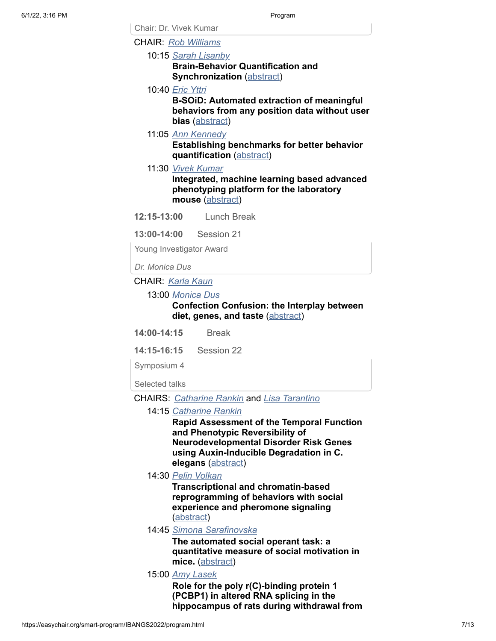Chair: Dr. Vivek Kumar CHAIR: *[Rob Williams](https://easychair.org/smart-program/IBANGS2022/person45.html)*

10:15 *[Sarah Lisanby](https://easychair.org/smart-program/IBANGS2022/person49.html)*

**Brain-Behavior Quantification and Synchronization** ([abstract](https://easychair.org/smart-program/IBANGS2022/2022-05-25.html#talk:193259))

10:40 *[Eric Yttri](https://easychair.org/smart-program/IBANGS2022/person48.html)*

**B-SOiD: Automated extraction of meaningful behaviors from any position data without user bias** [\(abstract](https://easychair.org/smart-program/IBANGS2022/2022-05-25.html#talk:192405))

11:05 *[Ann Kennedy](https://easychair.org/smart-program/IBANGS2022/person47.html)*

**Establishing benchmarks for better behavior quantification** [\(abstract](https://easychair.org/smart-program/IBANGS2022/2022-05-25.html#talk:192362))

11:30 *[Vivek Kumar](https://easychair.org/smart-program/IBANGS2022/person45.html)*

**Integrated, machine learning based advanced phenotyping platform for the laboratory mouse** [\(abstract\)](https://easychair.org/smart-program/IBANGS2022/2022-05-25.html#talk:193531)

**12:15-13:00** Lunch Break

**13:00-14:00** Session 21

Young Investigator Award

*Dr. Monica Dus*

# CHAIR: *[Karla Kaun](https://easychair.org/smart-program/IBANGS2022/person50.html)*

#### 13:00 *[Monica Dus](https://easychair.org/smart-program/IBANGS2022/person51.html)*

#### **Confection Confusion: the Interplay between diet, genes, and taste** [\(abstract\)](https://easychair.org/smart-program/IBANGS2022/2022-05-25.html#talk:192360)

**14:00-14:15** Break

**14:15-16:15** Session 22

Symposium 4

Selected talks

#### CHAIRS: *[Catharine Rankin](https://easychair.org/smart-program/IBANGS2022/person52.html)* and *[Lisa Tarantino](https://easychair.org/smart-program/IBANGS2022/person60.html)*

#### 14:15 *[Catharine Rankin](https://easychair.org/smart-program/IBANGS2022/person52.html)*

**Rapid Assessment of the Temporal Function and Phenotypic Reversibility of Neurodevelopmental Disorder Risk Genes using Auxin-Inducible Degradation in C. elegans** ([abstract](https://easychair.org/smart-program/IBANGS2022/2022-05-25.html#talk:193250))

14:30 *[Pelin Volkan](https://easychair.org/smart-program/IBANGS2022/person53.html)*

**Transcriptional and chromatin-based reprogramming of behaviors with social experience and pheromone signaling** [\(abstract\)](https://easychair.org/smart-program/IBANGS2022/2022-05-25.html#talk:193258)

14:45 *[Simona Sarafinovska](https://easychair.org/smart-program/IBANGS2022/person55.html)*

**The automated social operant task: a quantitative measure of social motivation in** mice. ([abstract](https://easychair.org/smart-program/IBANGS2022/2022-05-25.html#talk:193256))

15:00 *[Amy Lasek](https://easychair.org/smart-program/IBANGS2022/person56.html)*

**Role for the poly r(C)-binding protein 1 (PCBP1) in altered RNA splicing in the hippocampus of rats during withdrawal from**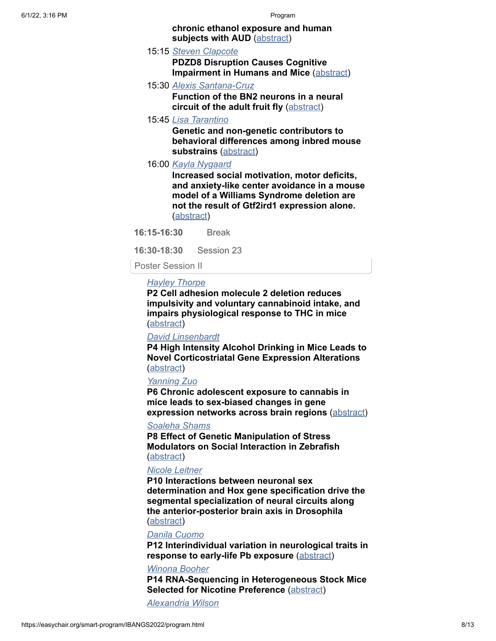#### **chronic ethanol exposure and human subjects with AUD** ([abstract](https://easychair.org/smart-program/IBANGS2022/2022-05-25.html#talk:193255))

- 15:15 *[Steven Clapcote](https://easychair.org/smart-program/IBANGS2022/person57.html)*
	- **PDZD8 Disruption Causes Cognitive Impairment in Humans and Mice** ([abstract](https://easychair.org/smart-program/IBANGS2022/2022-05-25.html#talk:193257))
- 15:30 *[Alexis Santana-Cruz](https://easychair.org/smart-program/IBANGS2022/person59.html)* **Function of the BN2 neurons in a neural circuit of the adult fruit fly** [\(abstract\)](https://easychair.org/smart-program/IBANGS2022/2022-05-25.html#talk:193254)
- 15:45 *[Lisa Tarantino](https://easychair.org/smart-program/IBANGS2022/person60.html)*

**Genetic and non-genetic contributors to behavioral differences among inbred mouse substrains** [\(abstract\)](https://easychair.org/smart-program/IBANGS2022/2022-05-25.html#talk:193253)

16:00 *[Kayla Nygaard](https://easychair.org/smart-program/IBANGS2022/person61.html)*

**Increased social motivation, motor deficits, and anxiety-like center avoidance in a mouse model of a Williams Syndrome deletion are not the result of Gtf2ird1 expression alone.** [\(abstract\)](https://easychair.org/smart-program/IBANGS2022/2022-05-25.html#talk:193249)

**16:15-16:30** Break

**16:30-18:30** Session 23

Poster Session II

# *[Hayley Thorpe](https://easychair.org/smart-program/IBANGS2022/person62.html)*

**P2 Cell adhesion molecule 2 deletion reduces impulsivity and voluntary cannabinoid intake, and impairs physiological response to THC in mice** [\(abstract\)](https://easychair.org/smart-program/IBANGS2022/2022-05-25.html#talk:193352)

# *[David Linsenbardt](https://easychair.org/smart-program/IBANGS2022/person63.html)*

**P4 High Intensity Alcohol Drinking in Mice Leads to Novel Corticostriatal Gene Expression Alterations** [\(abstract\)](https://easychair.org/smart-program/IBANGS2022/2022-05-25.html#talk:193356)

# *[Yanning Zuo](https://easychair.org/smart-program/IBANGS2022/person64.html)*

**P6 Chronic adolescent exposure to cannabis in mice leads to sex-biased changes in gene expression networks across brain regions** ([abstract](https://easychair.org/smart-program/IBANGS2022/2022-05-25.html#talk:193341))

#### *[Soaleha Shams](https://easychair.org/smart-program/IBANGS2022/person65.html)*

**P8 Effect of Genetic Manipulation of Stress Modulators on Social Interaction in Zebrafish** [\(abstract\)](https://easychair.org/smart-program/IBANGS2022/2022-05-25.html#talk:193338)

# *[Nicole Leitner](https://easychair.org/smart-program/IBANGS2022/person66.html)*

**P10 Interactions between neuronal sex determination and Hox gene specification drive the segmental specialization of neural circuits along the anterior-posterior brain axis in Drosophila** [\(abstract\)](https://easychair.org/smart-program/IBANGS2022/2022-05-25.html#talk:193344)

### *[Danila Cuomo](https://easychair.org/smart-program/IBANGS2022/person67.html)*

**P12 Interindividual variation in neurological traits in response to early-life Pb exposure** ([abstract](https://easychair.org/smart-program/IBANGS2022/2022-05-25.html#talk:193330))

#### *[Winona Booher](https://easychair.org/smart-program/IBANGS2022/person68.html)*

**P14 RNA-Sequencing in Heterogeneous Stock Mice Selected for Nicotine Preference** [\(abstract\)](https://easychair.org/smart-program/IBANGS2022/2022-05-25.html#talk:193333)

*[Alexandria Wilson](https://easychair.org/smart-program/IBANGS2022/person69.html)*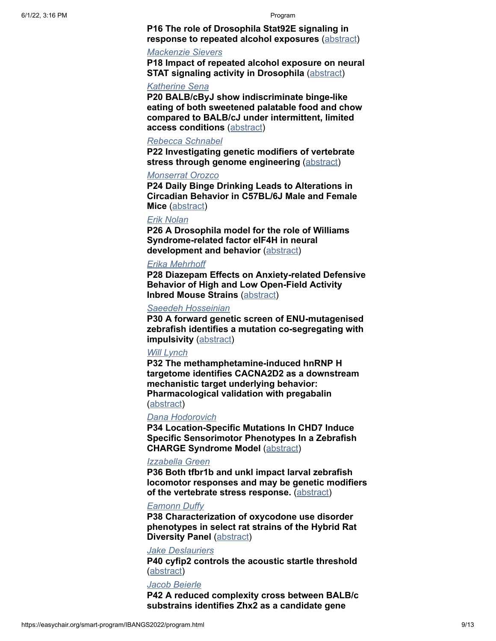**P16 The role of Drosophila Stat92E signaling in response to repeated alcohol exposures** ([abstract](https://easychair.org/smart-program/IBANGS2022/2022-05-25.html#talk:193350))

#### *[Mackenzie Sievers](https://easychair.org/smart-program/IBANGS2022/person70.html)*

**P18 Impact of repeated alcohol exposure on neural STAT signaling activity in Drosophila ([abstract](https://easychair.org/smart-program/IBANGS2022/2022-05-25.html#talk:193347))** 

#### *[Katherine Sena](https://easychair.org/smart-program/IBANGS2022/person71.html)*

**P20 BALB/cByJ show indiscriminate binge-like eating of both sweetened palatable food and chow compared to BALB/cJ under intermittent, limited access conditions** [\(abstract\)](https://easychair.org/smart-program/IBANGS2022/2022-05-25.html#talk:193336)

#### *[Rebecca Schnabel](https://easychair.org/smart-program/IBANGS2022/person72.html)*

**P22 Investigating genetic modifiers of vertebrate stress through genome engineering** [\(abstract\)](https://easychair.org/smart-program/IBANGS2022/2022-05-25.html#talk:193358)

#### *[Monserrat Orozco](https://easychair.org/smart-program/IBANGS2022/person73.html)*

**P24 Daily Binge Drinking Leads to Alterations in Circadian Behavior in C57BL/6J Male and Female Mice** ([abstract](https://easychair.org/smart-program/IBANGS2022/2022-05-25.html#talk:193343))

### *[Erik Nolan](https://easychair.org/smart-program/IBANGS2022/person74.html)*

**P26 A Drosophila model for the role of Williams Syndrome-related factor eIF4H in neural development and behavior** ([abstract](https://easychair.org/smart-program/IBANGS2022/2022-05-25.html#talk:193360))

# *[Erika Mehrhoff](https://easychair.org/smart-program/IBANGS2022/person75.html)*

**P28 Diazepam Effects on Anxiety-related Defensive Behavior of High and Low Open-Field Activity Inbred Mouse Strains** [\(abstract](https://easychair.org/smart-program/IBANGS2022/2022-05-25.html#talk:193355))

## *[Saeedeh Hosseinian](https://easychair.org/smart-program/IBANGS2022/person76.html)*

**P30 A forward genetic screen of ENU-mutagenised zebrafish identifies a mutation co-segregating with impulsivity** [\(abstract\)](https://easychair.org/smart-program/IBANGS2022/2022-05-25.html#talk:193346)

# *[Will Lynch](https://easychair.org/smart-program/IBANGS2022/person77.html)*

**P32 The methamphetamine-induced hnRNP H targetome identifies CACNA2D2 as a downstream mechanistic target underlying behavior: Pharmacological validation with pregabalin** [\(abstract\)](https://easychair.org/smart-program/IBANGS2022/2022-05-25.html#talk:193337)

#### *[Dana Hodorovich](https://easychair.org/smart-program/IBANGS2022/person78.html)*

**P34 Location-Specific Mutations In CHD7 Induce Specific Sensorimotor Phenotypes In a Zebrafish CHARGE Syndrome Model** ([abstract](https://easychair.org/smart-program/IBANGS2022/2022-05-25.html#talk:193349))

#### *[Izzabella Green](https://easychair.org/smart-program/IBANGS2022/person79.html)*

**P36 Both tfbr1b and unkl impact larval zebrafish locomotor responses and may be genetic modifiers of the vertebrate stress response.** [\(abstract\)](https://easychair.org/smart-program/IBANGS2022/2022-05-25.html#talk:193342)

#### *[Eamonn Duffy](https://easychair.org/smart-program/IBANGS2022/person80.html)*

**P38 Characterization of oxycodone use disorder phenotypes in select rat strains of the Hybrid Rat Diversity Panel ([abstract](https://easychair.org/smart-program/IBANGS2022/2022-05-25.html#talk:193348))** 

#### *[Jake Deslauriers](https://easychair.org/smart-program/IBANGS2022/person81.html)*

**P40 cyfip2 controls the acoustic startle threshold** [\(abstract\)](https://easychair.org/smart-program/IBANGS2022/2022-05-25.html#talk:193353)

#### *[Jacob Beierle](https://easychair.org/smart-program/IBANGS2022/person82.html)*

**P42 A reduced complexity cross between BALB/c substrains identifies Zhx2 as a candidate gene**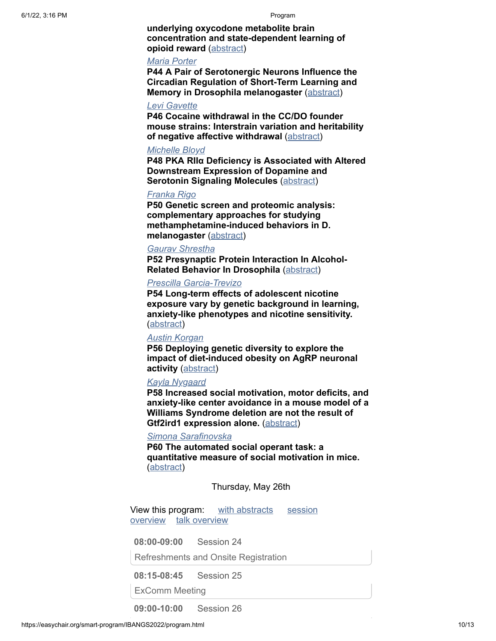**underlying oxycodone metabolite brain concentration and state-dependent learning of opioid reward** ([abstract](https://easychair.org/smart-program/IBANGS2022/2022-05-25.html#talk:193359))

#### *[Maria Porter](https://easychair.org/smart-program/IBANGS2022/person83.html)*

**P44 A Pair of Serotonergic Neurons Influence the Circadian Regulation of Short-Term Learning and Memory in Drosophila melanogaster** ([abstract\)](https://easychair.org/smart-program/IBANGS2022/2022-05-25.html#talk:193357)

#### *[Levi Gavette](https://easychair.org/smart-program/IBANGS2022/person84.html)*

**P46 Cocaine withdrawal in the CC/DO founder mouse strains: Interstrain variation and heritability of negative affective withdrawal** [\(abstract\)](https://easychair.org/smart-program/IBANGS2022/2022-05-25.html#talk:193354)

#### *[Michelle Bloyd](https://easychair.org/smart-program/IBANGS2022/person85.html)*

**P48 PKA RIIα Deficiency is Associated with Altered Downstream Expression of Dopamine and Serotonin Signaling Molecules** ([abstract](https://easychair.org/smart-program/IBANGS2022/2022-05-25.html#talk:193335))

## *[Franka Rigo](https://easychair.org/smart-program/IBANGS2022/person86.html)*

**P50 Genetic screen and proteomic analysis: complementary approaches for studying methamphetamine-induced behaviors in D. melanogaster** [\(abstract\)](https://easychair.org/smart-program/IBANGS2022/2022-05-25.html#talk:193331)

### *[Gaurav Shrestha](https://easychair.org/smart-program/IBANGS2022/person87.html)*

**P52 Presynaptic Protein Interaction In Alcohol-Related Behavior In Drosophila** ([abstract\)](https://easychair.org/smart-program/IBANGS2022/2022-05-25.html#talk:193351)

#### *[Prescilla Garcia-Trevizo](https://easychair.org/smart-program/IBANGS2022/person88.html)*

**P54 Long-term effects of adolescent nicotine exposure vary by genetic background in learning, anxiety-like phenotypes and nicotine sensitivity.** [\(abstract\)](https://easychair.org/smart-program/IBANGS2022/2022-05-25.html#talk:193345)

## *[Austin Korgan](https://easychair.org/smart-program/IBANGS2022/person24.html)*

**P56 Deploying genetic diversity to explore the impact of diet-induced obesity on AgRP neuronal activity** ([abstract\)](https://easychair.org/smart-program/IBANGS2022/2022-05-25.html#talk:193361)

#### *[Kayla Nygaard](https://easychair.org/smart-program/IBANGS2022/person61.html)*

**P58 Increased social motivation, motor deficits, and anxiety-like center avoidance in a mouse model of a Williams Syndrome deletion are not the result of Gtf2ird1 expression alone.** [\(abstract](https://easychair.org/smart-program/IBANGS2022/2022-05-25.html#talk:193362))

### *[Simona Sarafinovska](https://easychair.org/smart-program/IBANGS2022/person55.html)*

**P60 The automated social operant task: a quantitative measure of social motivation in mice.** [\(abstract\)](https://easychair.org/smart-program/IBANGS2022/2022-05-25.html#talk:193549)

Thursday, May 26th

[View this program: with abstracts](https://easychair.org/smart-program/IBANGS2022/bysession-2022-05-26.html) session overview [talk overview](https://easychair.org/smart-program/IBANGS2022/bytalk-2022-05-26.html)

**08:00-09:00** Session 24

Refreshments and Onsite Registration

**08:15-08:45** Session 25

ExComm Meeting

**09:00-10:00** Session 26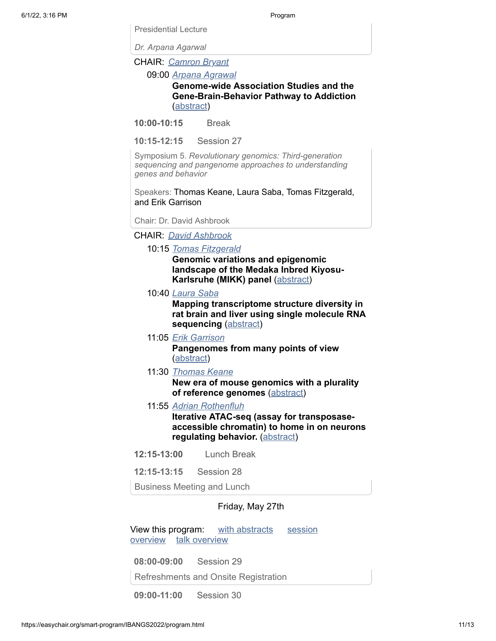*Dr. Arpana Agarwal*

Presidential Lecture

CHAIR: *[Camron Bryant](https://easychair.org/smart-program/IBANGS2022/person89.html)*

09:00 *[Arpana Agrawal](https://easychair.org/smart-program/IBANGS2022/person90.html)*

**Genome-wide Association Studies and the Gene-Brain-Behavior Pathway to Addiction** [\(abstract\)](https://easychair.org/smart-program/IBANGS2022/2022-05-26.html#talk:192361)

**10:00-10:15** Break

**10:15-12:15** Session 27

Symposium 5. *Revolutionary genomics: Third-generation sequencing and pangenome approaches to understanding genes and behavior*

Speakers: Thomas Keane, Laura Saba, Tomas Fitzgerald, and Erik Garrison

Chair: Dr. David Ashbrook

CHAIR: *[David Ashbrook](https://easychair.org/smart-program/IBANGS2022/person40.html)*

#### 10:15 *[Tomas Fitzgerald](https://easychair.org/smart-program/IBANGS2022/person94.html)*

**Genomic variations and epigenomic landscape of the Medaka Inbred Kiyosu-Karlsruhe (MIKK) panel [\(abstract](https://easychair.org/smart-program/IBANGS2022/2022-05-26.html#talk:193384))** 

10:40 *[Laura Saba](https://easychair.org/smart-program/IBANGS2022/person92.html)*

**Mapping transcriptome structure diversity in rat brain and liver using single molecule RNA sequencing** [\(abstract](https://easychair.org/smart-program/IBANGS2022/2022-05-26.html#talk:192363))

11:05 *[Erik Garrison](https://easychair.org/smart-program/IBANGS2022/person93.html)*

**Pangenomes from many points of view** [\(abstract\)](https://easychair.org/smart-program/IBANGS2022/2022-05-26.html#talk:193389)

11:30 *[Thomas Keane](https://easychair.org/smart-program/IBANGS2022/person91.html)*

**New era of mouse genomics with a plurality of reference genomes** ([abstract](https://easychair.org/smart-program/IBANGS2022/2022-05-26.html#talk:192364))

11:55 *[Adrian Rothenfluh](https://easychair.org/smart-program/IBANGS2022/person58.html)*

**Iterative ATAC-seq (assay for transposaseaccessible chromatin) to home in on neurons regulating behavior.** ([abstract](https://easychair.org/smart-program/IBANGS2022/2022-05-26.html#talk:193251))

- **12:15-13:00** Lunch Break
- **12:15-13:15** Session 28

Business Meeting and Lunch

# Friday, May 27th

[View this program: with abstracts](https://easychair.org/smart-program/IBANGS2022/bysession-2022-05-27.html) session overview [talk overview](https://easychair.org/smart-program/IBANGS2022/bytalk-2022-05-27.html)

**08:00-09:00** Session 29

Refreshments and Onsite Registration

**09:00-11:00** Session 30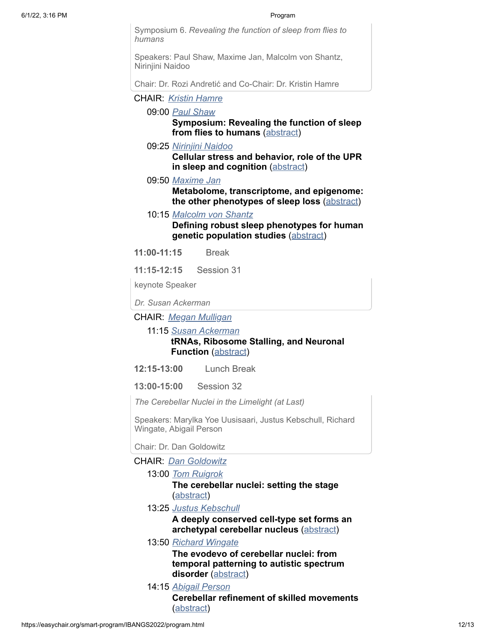Symposium 6. *Revealing the function of sleep from flies to humans*

Speakers: Paul Shaw, Maxime Jan, Malcolm von Shantz, Nirinjini Naidoo

Chair: Dr. Rozi Andretić and Co-Chair: Dr. Kristin Hamre

CHAIR: *[Kristin Hamre](https://easychair.org/smart-program/IBANGS2022/person95.html)*

09:00 *[Paul Shaw](https://easychair.org/smart-program/IBANGS2022/person99.html)*

**Symposium: Revealing the function of sleep from flies to humans** ([abstract](https://easychair.org/smart-program/IBANGS2022/2022-05-27.html#talk:193388))

09:25 *[Nirinjini Naidoo](https://easychair.org/smart-program/IBANGS2022/person98.html)*

**Cellular stress and behavior, role of the UPR in sleep and cognition** [\(abstract](https://easychair.org/smart-program/IBANGS2022/2022-05-27.html#talk:193248))

09:50 *[Maxime Jan](https://easychair.org/smart-program/IBANGS2022/person96.html)*

**Metabolome, transcriptome, and epigenome: the other phenotypes of sleep loss** [\(abstract](https://easychair.org/smart-program/IBANGS2022/2022-05-27.html#talk:192403))

10:15 *[Malcolm von Shantz](https://easychair.org/smart-program/IBANGS2022/person97.html)*

**Defining robust sleep phenotypes for human genetic population studies** ([abstract](https://easychair.org/smart-program/IBANGS2022/2022-05-27.html#talk:193247))

**11:00-11:15** Break

**11:15-12:15** Session 31

keynote Speaker

*Dr. Susan Ackerman*

CHAIR: *[Megan Mulligan](https://easychair.org/smart-program/IBANGS2022/person12.html)*

11:15 *[Susan Ackerman](https://easychair.org/smart-program/IBANGS2022/person100.html)*

# **tRNAs, Ribosome Stalling, and Neuronal Function** ([abstract](https://easychair.org/smart-program/IBANGS2022/2022-05-27.html#talk:192359))

**12:15-13:00** Lunch Break

**13:00-15:00** Session 32

*The Cerebellar Nuclei in the Limelight (at Last)*

Speakers: Marylka Yoe Uusisaari, Justus Kebschull, Richard Wingate, Abigail Person

Chair: Dr. Dan Goldowitz

CHAIR: *[Dan Goldowitz](https://easychair.org/smart-program/IBANGS2022/person101.html)*

13:00 *[Tom Ruigrok](https://easychair.org/smart-program/IBANGS2022/person105.html)*

**The cerebellar nuclei: setting the stage** [\(abstract\)](https://easychair.org/smart-program/IBANGS2022/2022-05-27.html#talk:193260)

13:25 *[Justus Kebschull](https://easychair.org/smart-program/IBANGS2022/person102.html)*

**A deeply conserved cell-type set forms an archetypal cerebellar nucleus** [\(abstract\)](https://easychair.org/smart-program/IBANGS2022/2022-05-27.html#talk:192377)

# 13:50 *[Richard Wingate](https://easychair.org/smart-program/IBANGS2022/person103.html)*

**The evodevo of cerebellar nuclei: from temporal patterning to autistic spectrum disorder** [\(abstract](https://easychair.org/smart-program/IBANGS2022/2022-05-27.html#talk:192376))

14:15 *[Abigail Person](https://easychair.org/smart-program/IBANGS2022/person104.html)* **Cerebellar refinement of skilled movements** [\(abstract\)](https://easychair.org/smart-program/IBANGS2022/2022-05-27.html#talk:192375)